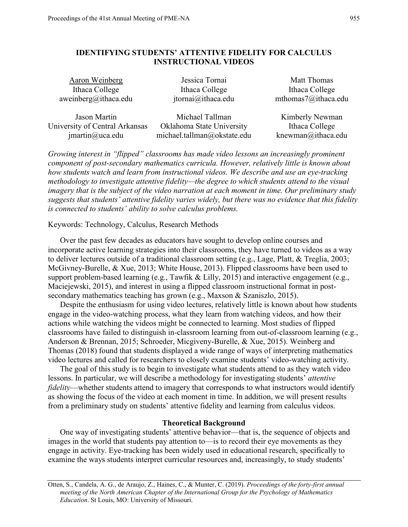# **IDENTIFYING STUDENTS' ATTENTIVE FIDELITY FOR CALCULUS INSTRUCTIONAL VIDEOS**

Aaron Weinberg **International Matters** Jessica Tornai Matt Thomas Ithaca College Ithaca College Ithaca College Ithaca College

aweinberg@ithaca.edu jtornai@ithaca.edu mthomas7@ithaca.edu

Jason Martin Michael Tallman Kimberly Newman University of Central Arkansas Oklahoma State University Ithaca College jmartin@uca.edu michael.tallman@okstate.edu knewman@ithaca.edu

*Growing interest in "flipped" classrooms has made video lessons an increasingly prominent component of post-secondary mathematics curricula. However, relatively little is known about how students watch and learn from instructional videos. We describe and use an eye-tracking methodology to investigate attentive fidelity—the degree to which students attend to the visual imagery that is the subject of the video narration at each moment in time. Our preliminary study suggests that students' attentive fidelity varies widely, but there was no evidence that this fidelity is connected to students' ability to solve calculus problems.*

Keywords: Technology, Calculus, Research Methods

Over the past few decades as educators have sought to develop online courses and incorporate active learning strategies into their classrooms, they have turned to videos as a way to deliver lectures outside of a traditional classroom setting (e.g., Lage, Platt, & Treglia, 2003; McGivney-Burelle, & Xue, 2013; White House, 2013). Flipped classrooms have been used to support problem-based learning (e.g., Tawfik & Lilly, 2015) and interactive engagement (e.g., Maciejewski, 2015), and interest in using a flipped classroom instructional format in postsecondary mathematics teaching has grown (e.g., Maxson & Szaniszlo, 2015).

Despite the enthusiasm for using video lectures, relatively little is known about how students engage in the video-watching process, what they learn from watching videos, and how their actions while watching the videos might be connected to learning. Most studies of flipped classrooms have failed to distinguish in-classroom learning from out-of-classroom learning (e.g., Anderson & Brennan, 2015; Schroeder, Micgiveny-Burelle, & Xue, 2015). Weinberg and Thomas (2018) found that students displayed a wide range of ways of interpreting mathematics video lectures and called for researchers to closely examine students' video-watching activity.

The goal of this study is to begin to investigate what students attend to as they watch video lessons. In particular, we will describe a methodology for investigating students' *attentive fidelity*—whether students attend to imagery that corresponds to what instructors would identify as showing the focus of the video at each moment in time. In addition, we will present results from a preliminary study on students' attentive fidelity and learning from calculus videos.

#### **Theoretical Background**

One way of investigating students' attentive behavior—that is, the sequence of objects and images in the world that students pay attention to—is to record their eye movements as they engage in activity. Eye-tracking has been widely used in educational research, specifically to examine the ways students interpret curricular resources and, increasingly, to study students'

Otten, S., Candela, A. G., de Araujo, Z., Haines, C., & Munter, C. (2019). *Proceedings of the forty-first annual meeting of the North American Chapter of the International Group for the Psychology of Mathematics Education*. St Louis, MO: University of Missouri.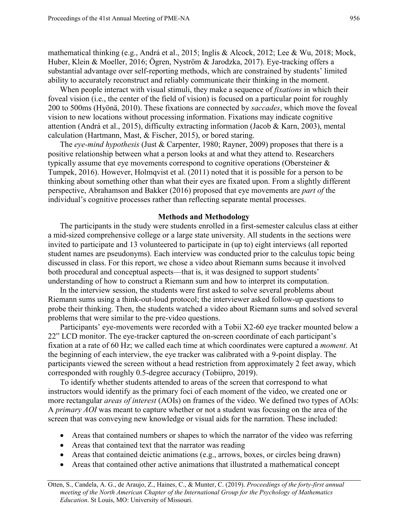mathematical thinking (e.g., Andrá et al., 2015; Inglis & Alcock, 2012; Lee & Wu, 2018; Mock, Huber, Klein & Moeller, 2016; Ogren, Nyström & Jarodzka, 2017). Eye-tracking offers a substantial advantage over self-reporting methods, which are constrained by students' limited ability to accurately reconstruct and reliably communicate their thinking in the moment.

When people interact with visual stimuli, they make a sequence of *fixations* in which their foveal vision (i.e., the center of the field of vision) is focused on a particular point for roughly 200 to 500ms (Hyönä, 2010). These fixations are connected by *saccades*, which move the foveal vision to new locations without processing information. Fixations may indicate cognitive attention (Andrá et al., 2015), difficulty extracting information (Jacob & Karn, 2003), mental calculation (Hartmann, Mast, & Fischer, 2015), or bored staring.

The *eye-mind hypothesis* (Just & Carpenter, 1980; Rayner, 2009) proposes that there is a positive relationship between what a person looks at and what they attend to. Researchers typically assume that eye movements correspond to cognitive operations (Obersteiner & Tumpek, 2016). However, Holmqvist et al. (2011) noted that it is possible for a person to be thinking about something other than what their eyes are fixated upon. From a slightly different perspective, Abrahamson and Bakker (2016) proposed that eye movements are *part of* the individual's cognitive processes rather than reflecting separate mental processes.

### **Methods and Methodology**

The participants in the study were students enrolled in a first-semester calculus class at either a mid-sized comprehensive college or a large state university. All students in the sections were invited to participate and 13 volunteered to participate in (up to) eight interviews (all reported student names are pseudonyms). Each interview was conducted prior to the calculus topic being discussed in class. For this report, we chose a video about Riemann sums because it involved both procedural and conceptual aspects—that is, it was designed to support students' understanding of how to construct a Riemann sum and how to interpret its computation.

In the interview session, the students were first asked to solve several problems about Riemann sums using a think-out-loud protocol; the interviewer asked follow-up questions to probe their thinking. Then, the students watched a video about Riemann sums and solved several problems that were similar to the pre-video questions.

Participants' eye-movements were recorded with a Tobii X2-60 eye tracker mounted below a 22" LCD monitor. The eye-tracker captured the on-screen coordinate of each participant's fixation at a rate of 60 Hz; we called each time at which coordinates were captured a *moment*. At the beginning of each interview, the eye tracker was calibrated with a 9-point display. The participants viewed the screen without a head restriction from approximately 2 feet away, which corresponded with roughly 0.5-degree accuracy (Tobiipro, 2019).

To identify whether students attended to areas of the screen that correspond to what instructors would identify as the primary foci of each moment of the video, we created one or more rectangular *areas of interest* (AOIs) on frames of the video. We defined two types of AOIs: A *primary AOI* was meant to capture whether or not a student was focusing on the area of the screen that was conveying new knowledge or visual aids for the narration. These included:

- Areas that contained numbers or shapes to which the narrator of the video was referring
- Areas that contained text that the narrator was reading
- $\bullet$  Areas that contained deictic animations (e.g., arrows, boxes, or circles being drawn)
- Areas that contained other active animations that illustrated a mathematical concept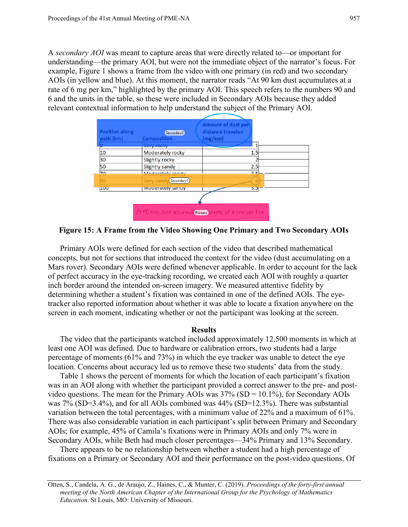A *secondary AOI* was meant to capture areas that were directly related to—or important for understanding—the primary AOI, but were not the immediate object of the narrator's focus. For example, Figure 1 shows a frame from the video with one primary (in red) and two secondary AOIs (in yellow and blue). At this moment, the narrator reads "At 90 km dust accumulates at a rate of 6 mg per km," highlighted by the primary AOI. This speech refers to the numbers 90 and 6 and the units in the table, so these were included in Secondary AOIs because they added relevant contextual information to help understand the subject of the Primary AOI.



**Figure 15: A Frame from the Video Showing One Primary and Two Secondary AOIs**

Primary AOIs were defined for each section of the video that described mathematical concepts, but not for sections that introduced the context for the video (dust accumulating on a Mars rover). Secondary AOIs were defined whenever applicable. In order to account for the lack of perfect accuracy in the eye-tracking recording, we created each AOI with roughly a quarter inch border around the intended on-screen imagery. We measured attentive fidelity by determining whether a student's fixation was contained in one of the defined AOIs. The eyetracker also reported information about whether it was able to locate a fixation anywhere on the screen in each moment, indicating whether or not the participant was looking at the screen.

## **Results**

The video that the participants watched included approximately 12,500 moments in which at least one AOI was defined. Due to hardware or calibration errors, two students had a large percentage of moments (61% and 73%) in which the eye tracker was unable to detect the eye location. Concerns about accuracy led us to remove these two students' data from the study.

Table 1 shows the percent of moments for which the location of each participant's fixation was in an AOI along with whether the participant provided a correct answer to the pre- and postvideo questions. The mean for the Primary AOIs was  $37\%$  (SD = 10.1%), for Secondary AOIs was 7% (SD=3.4%), and for all AOIs combined was 44% (SD=12.3%). There was substantial variation between the total percentages, with a minimum value of 22% and a maximum of 61%. There was also considerable variation in each participant's split between Primary and Secondary AOIs; for example, 45% of Camila's fixations were in Primary AOIs and only 7% were in Secondary AOIs, while Beth had much closer percentages—34% Primary and 13% Secondary.

There appears to be no relationship between whether a student had a high percentage of fixations on a Primary or Secondary AOI and their performance on the post-video questions. Of

Otten, S., Candela, A. G., de Araujo, Z., Haines, C., & Munter, C. (2019). *Proceedings of the forty-first annual meeting of the North American Chapter of the International Group for the Psychology of Mathematics Education*. St Louis, MO: University of Missouri.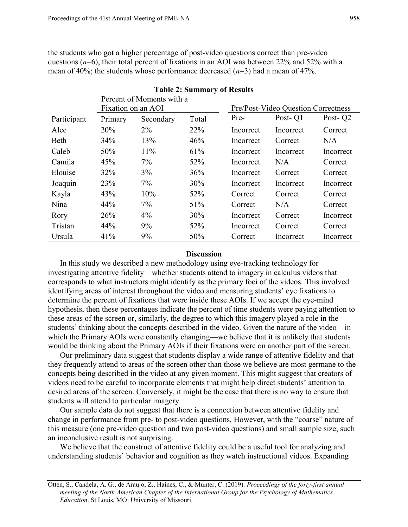the students who got a higher percentage of post-video questions correct than pre-video questions (*n*=6), their total percent of fixations in an AOI was between 22% and 52% with a mean of 40%; the students whose performance decreased (*n*=3) had a mean of 47%.

| <b>Table 2: Summary of Results</b> |                    |           |       |                                     |           |                     |
|------------------------------------|--------------------|-----------|-------|-------------------------------------|-----------|---------------------|
| Percent of Moments with a          |                    |           |       |                                     |           |                     |
|                                    | Fixation on an AOI |           |       | Pre/Post-Video Question Correctness |           |                     |
| Participant                        | Primary            | Secondary | Total | Pre-                                | Post-O1   | Post-Q <sub>2</sub> |
| Alec                               | 20%                | $2\%$     | 22%   | Incorrect                           | Incorrect | Correct             |
| Beth                               | 34%                | 13%       | 46%   | Incorrect                           | Correct   | N/A                 |
| Caleb                              | 50%                | 11%       | 61%   | Incorrect                           | Incorrect | Incorrect           |
| Camila                             | 45%                | $7\%$     | 52%   | Incorrect                           | N/A       | Correct             |
| Elouise                            | 32%                | 3%        | 36%   | Incorrect                           | Correct   | Correct             |
| Joaquin                            | 23%                | $7\%$     | 30%   | Incorrect                           | Incorrect | Incorrect           |
| Kayla                              | 43%                | 10%       | 52%   | Correct                             | Correct   | Correct             |
| Nina                               | 44%                | $7\%$     | 51%   | Correct                             | N/A       | Correct             |
| Rory                               | 26%                | $4\%$     | 30%   | Incorrect                           | Correct   | Incorrect           |
| Tristan                            | 44%                | $9\%$     | 52%   | Incorrect                           | Correct   | Correct             |
| Ursula                             | 41%                | 9%        | 50%   | Correct                             | Incorrect | Incorrect           |

## **Discussion**

In this study we described a new methodology using eye-tracking technology for investigating attentive fidelity—whether students attend to imagery in calculus videos that corresponds to what instructors might identify as the primary foci of the videos. This involved identifying areas of interest throughout the video and measuring students' eye fixations to determine the percent of fixations that were inside these AOIs. If we accept the eye-mind hypothesis, then these percentages indicate the percent of time students were paying attention to these areas of the screen or, similarly, the degree to which this imagery played a role in the students' thinking about the concepts described in the video. Given the nature of the video—in which the Primary AOIs were constantly changing—we believe that it is unlikely that students would be thinking about the Primary AOIs if their fixations were on another part of the screen.

Our preliminary data suggest that students display a wide range of attentive fidelity and that they frequently attend to areas of the screen other than those we believe are most germane to the concepts being described in the video at any given moment. This might suggest that creators of videos need to be careful to incorporate elements that might help direct students' attention to desired areas of the screen. Conversely, it might be the case that there is no way to ensure that students will attend to particular imagery.

Our sample data do not suggest that there is a connection between attentive fidelity and change in performance from pre- to post-video questions. However, with the "coarse" nature of this measure (one pre-video question and two post-video questions) and small sample size, such an inconclusive result is not surprising.

We believe that the construct of attentive fidelity could be a useful tool for analyzing and understanding students' behavior and cognition as they watch instructional videos. Expanding

Otten, S., Candela, A. G., de Araujo, Z., Haines, C., & Munter, C. (2019). *Proceedings of the forty-first annual meeting of the North American Chapter of the International Group for the Psychology of Mathematics Education*. St Louis, MO: University of Missouri.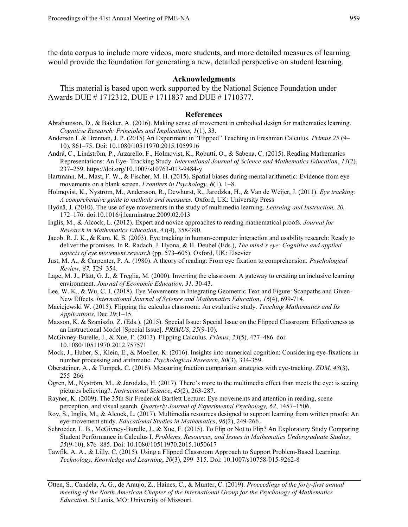the data corpus to include more videos, more students, and more detailed measures of learning would provide the foundation for generating a new, detailed perspective on student learning.

#### **Acknowledgments**

This material is based upon work supported by the National Science Foundation under Awards DUE # 1712312, DUE # 1711837 and DUE # 1710377.

#### **References**

- Abrahamson, D., & Bakker, A. (2016). Making sense of movement in embodied design for mathematics learning. *Cognitive Research: Principles and Implications, 1*(1), 33.
- Anderson L & Brennan, J. P. (2015) An Experiment in "Flipped" Teaching in Freshman Calculus. *Primus 25* (9– 10), 861–75. Doi: 10.1080/10511970.2015.1059916
- Andra, C., Lindström, P., Arzarello, F., Holmqvist, K., Robutti, O., & Sabena, C. (2015). Reading Mathematics Representations: An Eye- Tracking Study. *International Journal of Science and Mathematics Education*, *13*(2), 237–259. https://doi.org/10.1007/s10763-013-9484-y
- Hartmann, M., Mast, F. W., & Fischer, M. H. (2015). Spatial biases during mental arithmetic: Evidence from eye movements on a blank screen. *Frontiers in Psychology, 6*(1), 1–8.
- Holmqvist, K., Nyström, M., Andersson, R., Dewhurst, R., Jarodzka, H., & Van de Weijer, J. (2011). *Eye tracking: A comprehensive guide to methods and measures.* Oxford, UK: University Press
- Hyönä, J. (2010). The use of eye movements in the study of multimedia learning. *Learning and Instruction, 20,*  172–176. doi:10.1016/j.learninstruc.2009.02.013
- Inglis, M., & Alcock, L. (2012). Expert and novice approaches to reading mathematical proofs. *Journal for Research in Mathematics Education*, *43*(4), 358-390.
- Jacob, R. J. K., & Karn, K. S. (2003). Eye tracking in human-computer interaction and usability research: Ready to deliver the promises. In R. Radach, J. Hyona, & H. Deubel (Eds.), *The mind's eye: Cognitive and applied aspects of eye movement research* (pp. 573–605). Oxford, UK: Elsevier
- Just, M. A., & Carpenter, P. A. (1980). A theory of reading: From eye fixation to comprehension. *Psychological Review, 87,* 329–354.
- Lage, M. J., Platt, G. J., & Treglia, M. (2000). Inverting the classroom: A gateway to creating an inclusive learning environment. *Journal of Economic Education, 31,* 30-43.
- Lee, W. K., & Wu, C. J. (2018). Eye Movements in Integrating Geometric Text and Figure: Scanpaths and Given-New Effects. *International Journal of Science and Mathematics Education*, *16*(4), 699-714.
- Maciejewski W. (2015). Flipping the calculus classroom: An evaluative study. *Teaching Mathematics and Its Applications*, Dec 29;1–15.
- Maxson, K. & Szaniszlo, Z. (Eds.). (2015). Special Issue: Special Issue on the Flipped Classroom: Effectiveness as an Instructional Model [Special Issue]. *PRIMUS*, *25*(9-10).
- McGivney-Burelle, J., & Xue, F. (2013). Flipping Calculus. *Primus*, *23*(5), 477–486. doi: 10.1080/10511970.2012.757571
- Mock, J., Huber, S., Klein, E., & Moeller, K. (2016). Insights into numerical cognition: Considering eye-fixations in number processing and arithmetic. *Psychological Research*, *80*(3), 334-359.
- Obersteiner, A., & Tumpek, C. (2016). Measuring fraction comparison strategies with eye-tracking. *ZDM, 48*(3), 255–266
- Ogren, M., Nyström, M., & Jarodzka, H. (2017). There's more to the multimedia effect than meets the eye: is seeing pictures believing?. *Instructional Science*, *45*(2), 263-287.
- Rayner, K. (2009). The 35th Sir Frederick Bartlett Lecture: Eye movements and attention in reading, scene perception, and visual search. *Quarterly Journal of Experimental Psychology, 62*, 1457–1506.
- Roy, S., Inglis, M., & Alcock, L. (2017). Multimedia resources designed to support learning from written proofs: An eye-movement study. *Educational Studies in Mathematics*, *96*(2), 249-266.
- Schroeder, L. B., McGivney-Burelle, J., & Xue, F. (2015). To Flip or Not to Flip? An Exploratory Study Comparing Student Performance in Calculus I. *Problems, Resources, and Issues in Mathematics Undergraduate Studies*, *25*(9-10), 876–885. Doi: 10.1080/10511970.2015.1050617
- Tawfik, A. A., & Lilly, C. (2015). Using a Flipped Classroom Approach to Support Problem-Based Learning. *Technology, Knowledge and Learning*, *20*(3), 299–315. Doi: 10.1007/s10758-015-9262-8
- Otten, S., Candela, A. G., de Araujo, Z., Haines, C., & Munter, C. (2019). *Proceedings of the forty-first annual meeting of the North American Chapter of the International Group for the Psychology of Mathematics Education*. St Louis, MO: University of Missouri.